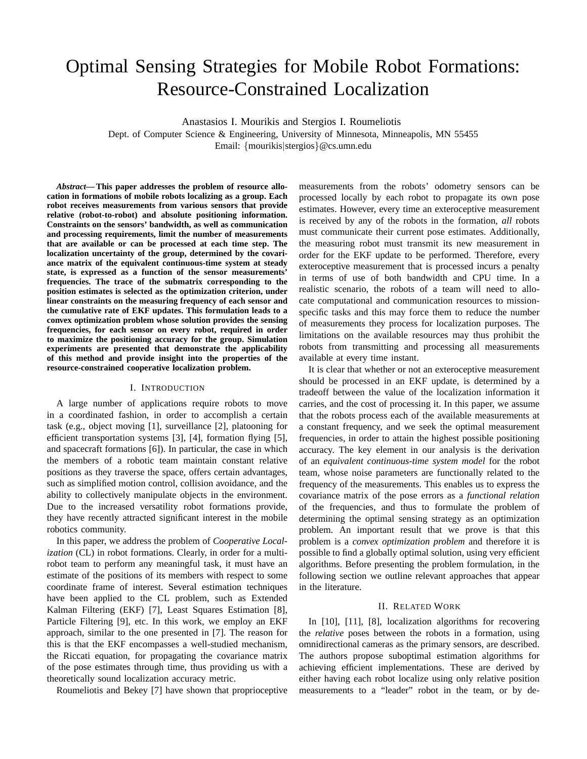# Optimal Sensing Strategies for Mobile Robot Formations: Resource-Constrained Localization

Anastasios I. Mourikis and Stergios I. Roumeliotis

Dept. of Computer Science & Engineering, University of Minnesota, Minneapolis, MN 55455 Email: {mourikis|stergios}@cs.umn.edu

*Abstract***— This paper addresses the problem of resource allocation in formations of mobile robots localizing as a group. Each robot receives measurements from various sensors that provide relative (robot-to-robot) and absolute positioning information. Constraints on the sensors' bandwidth, as well as communication and processing requirements, limit the number of measurements that are available or can be processed at each time step. The localization uncertainty of the group, determined by the covariance matrix of the equivalent continuous-time system at steady state, is expressed as a function of the sensor measurements' frequencies. The trace of the submatrix corresponding to the position estimates is selected as the optimization criterion, under linear constraints on the measuring frequency of each sensor and the cumulative rate of EKF updates. This formulation leads to a convex optimization problem whose solution provides the sensing frequencies, for each sensor on every robot, required in order to maximize the positioning accuracy for the group. Simulation experiments are presented that demonstrate the applicability of this method and provide insight into the properties of the resource-constrained cooperative localization problem.**

#### I. INTRODUCTION

A large number of applications require robots to move in a coordinated fashion, in order to accomplish a certain task (e.g., object moving [1], surveillance [2], platooning for efficient transportation systems [3], [4], formation flying [5], and spacecraft formations [6]). In particular, the case in which the members of a robotic team maintain constant relative positions as they traverse the space, offers certain advantages, such as simplified motion control, collision avoidance, and the ability to collectively manipulate objects in the environment. Due to the increased versatility robot formations provide, they have recently attracted significant interest in the mobile robotics community.

In this paper, we address the problem of *Cooperative Localization* (CL) in robot formations. Clearly, in order for a multirobot team to perform any meaningful task, it must have an estimate of the positions of its members with respect to some coordinate frame of interest. Several estimation techniques have been applied to the CL problem, such as Extended Kalman Filtering (EKF) [7], Least Squares Estimation [8], Particle Filtering [9], etc. In this work, we employ an EKF approach, similar to the one presented in [7]. The reason for this is that the EKF encompasses a well-studied mechanism, the Riccati equation, for propagating the covariance matrix of the pose estimates through time, thus providing us with a theoretically sound localization accuracy metric.

Roumeliotis and Bekey [7] have shown that proprioceptive

measurements from the robots' odometry sensors can be processed locally by each robot to propagate its own pose estimates. However, every time an exteroceptive measurement is received by any of the robots in the formation, *all* robots must communicate their current pose estimates. Additionally, the measuring robot must transmit its new measurement in order for the EKF update to be performed. Therefore, every exteroceptive measurement that is processed incurs a penalty in terms of use of both bandwidth and CPU time. In a realistic scenario, the robots of a team will need to allocate computational and communication resources to missionspecific tasks and this may force them to reduce the number of measurements they process for localization purposes. The limitations on the available resources may thus prohibit the robots from transmitting and processing all measurements available at every time instant.

It is clear that whether or not an exteroceptive measurement should be processed in an EKF update, is determined by a tradeoff between the value of the localization information it carries, and the cost of processing it. In this paper, we assume that the robots process each of the available measurements at a constant frequency, and we seek the optimal measurement frequencies, in order to attain the highest possible positioning accuracy. The key element in our analysis is the derivation of an *equivalent continuous-time system model* for the robot team, whose noise parameters are functionally related to the frequency of the measurements. This enables us to express the covariance matrix of the pose errors as a *functional relation* of the frequencies, and thus to formulate the problem of determining the optimal sensing strategy as an optimization problem. An important result that we prove is that this problem is a *convex optimization problem* and therefore it is possible to find a globally optimal solution, using very efficient algorithms. Before presenting the problem formulation, in the following section we outline relevant approaches that appear in the literature.

### II. RELATED WORK

In [10], [11], [8], localization algorithms for recovering the *relative* poses between the robots in a formation, using omnidirectional cameras as the primary sensors, are described. The authors propose suboptimal estimation algorithms for achieving efficient implementations. These are derived by either having each robot localize using only relative position measurements to a "leader" robot in the team, or by de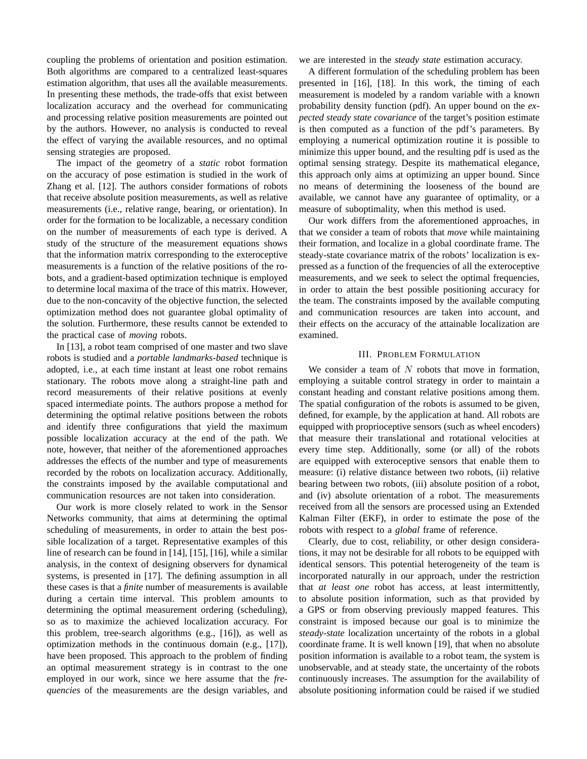coupling the problems of orientation and position estimation. Both algorithms are compared to a centralized least-squares estimation algorithm, that uses all the available measurements. In presenting these methods, the trade-offs that exist between localization accuracy and the overhead for communicating and processing relative position measurements are pointed out by the authors. However, no analysis is conducted to reveal the effect of varying the available resources, and no optimal sensing strategies are proposed.

The impact of the geometry of a *static* robot formation on the accuracy of pose estimation is studied in the work of Zhang et al. [12]. The authors consider formations of robots that receive absolute position measurements, as well as relative measurements (i.e., relative range, bearing, or orientation). In order for the formation to be localizable, a necessary condition on the number of measurements of each type is derived. A study of the structure of the measurement equations shows that the information matrix corresponding to the exteroceptive measurements is a function of the relative positions of the robots, and a gradient-based optimization technique is employed to determine local maxima of the trace of this matrix. However, due to the non-concavity of the objective function, the selected optimization method does not guarantee global optimality of the solution. Furthermore, these results cannot be extended to the practical case of *moving* robots.

In [13], a robot team comprised of one master and two slave robots is studied and a *portable landmarks-based* technique is adopted, i.e., at each time instant at least one robot remains stationary. The robots move along a straight-line path and record measurements of their relative positions at evenly spaced intermediate points. The authors propose a method for determining the optimal relative positions between the robots and identify three configurations that yield the maximum possible localization accuracy at the end of the path. We note, however, that neither of the aforementioned approaches addresses the effects of the number and type of measurements recorded by the robots on localization accuracy. Additionally, the constraints imposed by the available computational and communication resources are not taken into consideration.

Our work is more closely related to work in the Sensor Networks community, that aims at determining the optimal scheduling of measurements, in order to attain the best possible localization of a target. Representative examples of this line of research can be found in [14], [15], [16], while a similar analysis, in the context of designing observers for dynamical systems, is presented in [17]. The defining assumption in all these cases is that a *finite* number of measurements is available during a certain time interval. This problem amounts to determining the optimal measurement ordering (scheduling), so as to maximize the achieved localization accuracy. For this problem, tree-search algorithms (e.g., [16]), as well as optimization methods in the continuous domain (e.g., [17]), have been proposed. This approach to the problem of finding an optimal measurement strategy is in contrast to the one employed in our work, since we here assume that the *frequencies* of the measurements are the design variables, and we are interested in the *steady state* estimation accuracy.

A different formulation of the scheduling problem has been presented in [16], [18]. In this work, the timing of each measurement is modeled by a random variable with a known probability density function (pdf). An upper bound on the *expected steady state covariance* of the target's position estimate is then computed as a function of the pdf's parameters. By employing a numerical optimization routine it is possible to minimize this upper bound, and the resulting pdf is used as the optimal sensing strategy. Despite its mathematical elegance, this approach only aims at optimizing an upper bound. Since no means of determining the looseness of the bound are available, we cannot have any guarantee of optimality, or a measure of suboptimality, when this method is used.

Our work differs from the aforementioned approaches, in that we consider a team of robots that *move* while maintaining their formation, and localize in a global coordinate frame. The steady-state covariance matrix of the robots' localization is expressed as a function of the frequencies of all the exteroceptive measurements, and we seek to select the optimal frequencies, in order to attain the best possible positioning accuracy for the team. The constraints imposed by the available computing and communication resources are taken into account, and their effects on the accuracy of the attainable localization are examined.

### III. PROBLEM FORMULATION

We consider a team of  $N$  robots that move in formation, employing a suitable control strategy in order to maintain a constant heading and constant relative positions among them. The spatial configuration of the robots is assumed to be given, defined, for example, by the application at hand. All robots are equipped with proprioceptive sensors (such as wheel encoders) that measure their translational and rotational velocities at every time step. Additionally, some (or all) of the robots are equipped with exteroceptive sensors that enable them to measure: (i) relative distance between two robots, (ii) relative bearing between two robots, (iii) absolute position of a robot, and (iv) absolute orientation of a robot. The measurements received from all the sensors are processed using an Extended Kalman Filter (EKF), in order to estimate the pose of the robots with respect to a *global* frame of reference.

Clearly, due to cost, reliability, or other design considerations, it may not be desirable for all robots to be equipped with identical sensors. This potential heterogeneity of the team is incorporated naturally in our approach, under the restriction that *at least one* robot has access, at least intermittently, to absolute position information, such as that provided by a GPS or from observing previously mapped features. This constraint is imposed because our goal is to minimize the *steady-state* localization uncertainty of the robots in a global coordinate frame. It is well known [19], that when no absolute position information is available to a robot team, the system is unobservable, and at steady state, the uncertainty of the robots continuously increases. The assumption for the availability of absolute positioning information could be raised if we studied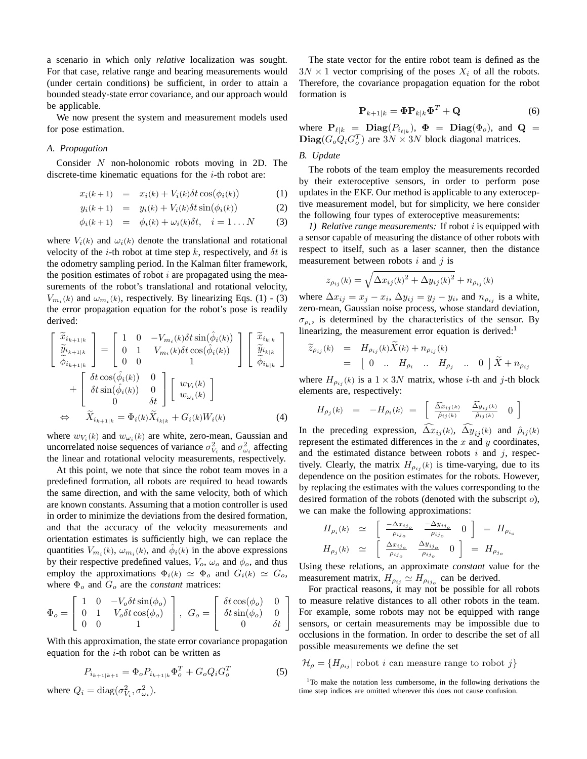a scenario in which only *relative* localization was sought. For that case, relative range and bearing measurements would (under certain conditions) be sufficient, in order to attain a bounded steady-state error covariance, and our approach would be applicable.

We now present the system and measurement models used for pose estimation.

#### *A. Propagation*

Consider N non-holonomic robots moving in 2D. The discrete-time kinematic equations for the  $i$ -th robot are:

$$
x_i(k+1) = x_i(k) + V_i(k)\delta t \cos(\phi_i(k)) \tag{1}
$$

$$
y_i(k+1) = y_i(k) + V_i(k)\delta t \sin(\phi_i(k)) \tag{2}
$$

$$
\phi_i(k+1) = \phi_i(k) + \omega_i(k)\delta t, \quad i = 1 \dots N \tag{3}
$$

where  $V_i(k)$  and  $\omega_i(k)$  denote the translational and rotational velocity of the *i*-th robot at time step k, respectively, and  $\delta t$  is the odometry sampling period. In the Kalman filter framework, the position estimates of robot  $i$  are propagated using the measurements of the robot's translational and rotational velocity,  $V_{m_i}(k)$  and  $\omega_{m_i}(k)$ , respectively. By linearizing Eqs. (1) - (3) the error propagation equation for the robot's pose is readily derived:

$$
\begin{bmatrix}\n\tilde{x}_{i_{k+1|k}} \\
\tilde{y}_{i_{k+1|k}} \\
\tilde{\phi}_{i_{k+1|k}}\n\end{bmatrix} = \begin{bmatrix}\n1 & 0 & -V_{m_i}(k)\delta t \sin(\hat{\phi}_i(k)) \\
0 & 1 & V_{m_i}(k)\delta t \cos(\hat{\phi}_i(k)) \\
0 & 0 & 1\n\end{bmatrix} \begin{bmatrix}\n\tilde{x}_{i_{k|k}} \\
\tilde{y}_{i_{k|k}} \\
\tilde{\phi}_{i_{k+1|k}}\n\end{bmatrix} + \begin{bmatrix}\n\delta t \cos(\hat{\phi}_i(k)) & 0 \\
\delta t \sin(\hat{\phi}_i(k)) & 0 \\
0 & \delta t\n\end{bmatrix} \begin{bmatrix}\nw_{V_i}(k) \\
w_{\omega_i}(k)\n\end{bmatrix}
$$
\n
$$
\Leftrightarrow \tilde{X}_{i_{k+1|k}} = \Phi_i(k)\tilde{X}_{i_{k|k}} + G_i(k)W_i(k) \tag{4}
$$

where  $w_{V_i}(k)$  and  $w_{\omega_i}(k)$  are white, zero-mean, Gaussian and uncorrelated noise sequences of variance  $\sigma_{V_i}^2$  and  $\sigma_{\omega_i}^2$  affecting the linear and rotational velocity measurements, respectively.

At this point, we note that since the robot team moves in a predefined formation, all robots are required to head towards the same direction, and with the same velocity, both of which are known constants. Assuming that a motion controller is used in order to minimize the deviations from the desired formation, and that the accuracy of the velocity measurements and orientation estimates is sufficiently high, we can replace the quantities  $V_{m_i}(k)$ ,  $\omega_{m_i}(k)$ , and  $\hat{\phi}_i(k)$  in the above expressions by their respective predefined values,  $V_o$ ,  $\omega_o$  and  $\phi_o$ , and thus employ the approximations  $\Phi_i(k) \simeq \Phi_o$  and  $G_i(k) \simeq G_o$ , where  $\Phi_o$  and  $G_o$  are the *constant* matrices:

$$
\Phi_o = \left[ \begin{array}{ccc} 1 & 0 & -V_o \delta t \sin(\phi_o) \\ 0 & 1 & V_o \delta t \cos(\phi_o) \\ 0 & 0 & 1 \end{array} \right], \ G_o = \left[ \begin{array}{ccc} \delta t \cos(\phi_o) & 0 \\ \delta t \sin(\phi_o) & 0 \\ 0 & \delta t \end{array} \right]
$$

With this approximation, the state error covariance propagation equation for the  $i$ -th robot can be written as

$$
P_{i_{k+1|k+1}} = \Phi_o P_{i_{k+1|k}} \Phi_o^T + G_o Q_i G_o^T
$$
 (5)

where  $Q_i = \text{diag}(\sigma_{V_i}^2, \sigma_{\omega_i}^2)$ .

The state vector for the entire robot team is defined as the  $3N \times 1$  vector comprising of the poses  $X_i$  of all the robots. Therefore, the covariance propagation equation for the robot formation is

$$
\mathbf{P}_{k+1|k} = \mathbf{\Phi} \mathbf{P}_{k|k} \mathbf{\Phi}^T + \mathbf{Q} \tag{6}
$$

where  $P_{\ell|k}$  =  $Diag(P_{i_{\ell|k}})$ ,  $\Phi$  =  $Diag(\Phi_o)$ , and  $Q$  =  $\textbf{Diag}(G_oQ_iG_o^T)$  are  $3N \times 3N$  block diagonal matrices.

## *B. Update*

The robots of the team employ the measurements recorded by their exteroceptive sensors, in order to perform pose updates in the EKF. Our method is applicable to any exteroceptive measurement model, but for simplicity, we here consider the following four types of exteroceptive measurements:

*1) Relative range measurements:* If robot i is equipped with a sensor capable of measuring the distance of other robots with respect to itself, such as a laser scanner, then the distance measurement between robots  $i$  and  $j$  is

$$
z_{\rho_{ij}}(k) = \sqrt{\Delta x_{ij}(k)^2 + \Delta y_{ij}(k)^2} + n_{\rho_{ij}}(k)
$$

where  $\Delta x_{ij} = x_j - x_i$ ,  $\Delta y_{ij} = y_j - y_i$ , and  $n_{\rho_{ij}}$  is a white, zero-mean, Gaussian noise process, whose standard deviation,  $\sigma_{\rho_i}$ , is determined by the characteristics of the sensor. By linearizing, the measurement error equation is derived: $<sup>1</sup>$ </sup>

$$
\widetilde{z}_{\rho_{ij}}(k) = H_{\rho_{ij}}(k)X(k) + n_{\rho_{ij}}(k)
$$
  
=  $\begin{bmatrix} 0 & \dots & H_{\rho_i} & \dots & H_{\rho_j} & \dots & 0 \end{bmatrix} \widetilde{X} + n_{\rho_{ij}}$ 

where  $H_{\rho_{ij}}(k)$  is a  $1 \times 3N$  matrix, whose *i*-th and *j*-th block elements are, respectively:

$$
H_{\rho_j}(k) = -H_{\rho_i}(k) = \left[ \begin{array}{cc} \frac{\widehat{\Delta x}_{ij}(k)}{\widehat{\rho}_{ij}(k)} & \frac{\widehat{\Delta y}_{ij}(k)}{\widehat{\rho}_{ij}(k)} & 0 \end{array} \right]
$$

In the preceding expression,  $\Delta x_{ij}(k)$ ,  $\Delta y_{ij}(k)$  and  $\hat{\rho}_{ij}(k)$ represent the estimated differences in the  $x$  and  $y$  coordinates, and the estimated distance between robots  $i$  and  $j$ , respectively. Clearly, the matrix  $H_{\rho_{ij}}(k)$  is time-varying, due to its dependence on the position estimates for the robots. However, by replacing the estimates with the values corresponding to the desired formation of the robots (denoted with the subscript  $o$ ), we can make the following approximations:

$$
H_{\rho_i}(k) \simeq \begin{bmatrix} \frac{-\Delta x_{ij_o}}{\rho_{ij_o}} & \frac{-\Delta y_{ij_o}}{\rho_{ij_o}} & 0 \end{bmatrix} = H_{\rho_{i_o}}
$$
  

$$
H_{\rho_j}(k) \simeq \begin{bmatrix} \frac{\Delta x_{ij_o}}{\rho_{ij_o}} & \frac{\Delta y_{ij_o}}{\rho_{ij_o}} & 0 \end{bmatrix} = H_{\rho_{j_o}}
$$

Using these relations, an approximate *constant* value for the measurement matrix,  $H_{\rho_{ij}} \simeq H_{\rho_{ij_o}}$  can be derived.

For practical reasons, it may not be possible for all robots to measure relative distances to all other robots in the team. For example, some robots may not be equipped with range sensors, or certain measurements may be impossible due to occlusions in the formation. In order to describe the set of all possible measurements we define the set

 $\mathcal{H}_{\rho} = \{H_{\rho_{ij}}\}$  robot *i* can measure range to robot *j*}

<sup>1</sup>To make the notation less cumbersome, in the following derivations the time step indices are omitted wherever this does not cause confusion.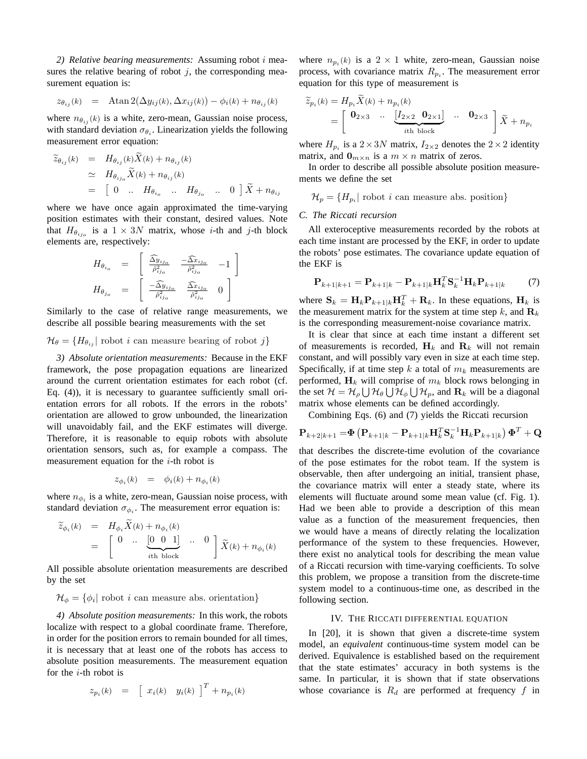*2) Relative bearing measurements:* Assuming robot i measures the relative bearing of robot  $j$ , the corresponding measurement equation is:

$$
z_{\theta_{ij}}(k) = \text{Atan } 2(\Delta y_{ij}(k), \Delta x_{ij}(k)) - \phi_i(k) + n_{\theta_{ij}}(k)
$$

where  $n_{\theta_{ij}}(k)$  is a white, zero-mean, Gaussian noise process, with standard deviation  $\sigma_{\theta_i}$ . Linearization yields the following measurement error equation:

$$
\widetilde{z}_{\theta_{ij}}(k) = H_{\theta_{ij}}(k)X(k) + n_{\theta_{ij}}(k)
$$
\n
$$
\simeq H_{\theta_{ij_o}}\widetilde{X}(k) + n_{\theta_{ij}}(k)
$$
\n
$$
= \begin{bmatrix} 0 & \dots & H_{\theta_{i_o}} & \dots & H_{\theta_{j_o}} & \dots & 0 \end{bmatrix} \widetilde{X} + n_{\theta_{ij}}
$$

where we have once again approximated the time-varying position estimates with their constant, desired values. Note that  $H_{\theta_{ij_o}}$  is a  $1 \times 3N$  matrix, whose *i*-th and *j*-th block elements are, respectively:

$$
H_{\theta_{i_o}} = \begin{bmatrix} \frac{\widehat{\Delta y}_{ij_o}}{\widehat{\rho}_{ij_o}^2} & \frac{-\widehat{\Delta x}_{ij_o}}{\widehat{\rho}_{ij_o}^2} & -1 \end{bmatrix}
$$
  
\n
$$
H_{\theta_{j_o}} = \begin{bmatrix} \frac{-\widehat{\Delta y}_{ij_o}}{\widehat{\rho}_{ij_o}^2} & \frac{\widehat{\Delta x}_{ij_o}}{\widehat{\rho}_{ij_o}^2} & 0 \end{bmatrix}
$$

Similarly to the case of relative range measurements, we describe all possible bearing measurements with the set

 $\mathcal{H}_{\theta} = \{H_{\theta_{ij}}\}\$ robot i can measure bearing of robot j}

*3) Absolute orientation measurements:* Because in the EKF framework, the pose propagation equations are linearized around the current orientation estimates for each robot (cf. Eq. (4)), it is necessary to guarantee sufficiently small orientation errors for all robots. If the errors in the robots' orientation are allowed to grow unbounded, the linearization will unavoidably fail, and the EKF estimates will diverge. Therefore, it is reasonable to equip robots with absolute orientation sensors, such as, for example a compass. The measurement equation for the  $i$ -th robot is

$$
z_{\phi_i}(k) = \phi_i(k) + n_{\phi_i}(k)
$$

where  $n_{\phi_i}$  is a white, zero-mean, Gaussian noise process, with standard deviation  $\sigma_{\phi_i}$ . The measurement error equation is:

$$
\widetilde{z}_{\phi_i}(k) = H_{\phi_i} X(k) + n_{\phi_i}(k) \n= \begin{bmatrix}\n0 & \cdots & \underbrace{[0 \quad 0 \quad 1]}_{i\text{th block}} & \cdots & 0 \\
\end{bmatrix} \widetilde{X}(k) + n_{\phi_i}(k)
$$

All possible absolute orientation measurements are described by the set

 $\mathcal{H}_{\phi} = \{\phi_i | \text{ robot } i \text{ can measure abs. orientation}\}\$ 

*4) Absolute position measurements:* In this work, the robots localize with respect to a global coordinate frame. Therefore, in order for the position errors to remain bounded for all times, it is necessary that at least one of the robots has access to absolute position measurements. The measurement equation for the  $i$ -th robot is

$$
z_{p_i}(k) = \left[ x_i(k) \quad y_i(k) \right]^T + n_{p_i}(k)
$$

where  $n_{p_i}(k)$  is a  $2 \times 1$  white, zero-mean, Gaussian noise process, with covariance matrix  $R_{p_i}$ . The measurement error equation for this type of measurement is

$$
\widetilde{z}_{p_i}(k) = H_{p_i} X(k) + n_{p_i}(k)
$$
\n
$$
= \begin{bmatrix}\n\mathbf{0}_{2 \times 3} & \cdots & \underbrace{[I_{2 \times 2} \quad \mathbf{0}_{2 \times 1}]}_{i \text{th block}} & \cdots & \mathbf{0}_{2 \times 3} \\
\end{bmatrix} \widetilde{X} + n_{p_i}
$$

where  $H_{p_i}$  is a  $2 \times 3N$  matrix,  $I_{2 \times 2}$  denotes the  $2 \times 2$  identity matrix, and  $\mathbf{0}_{m \times n}$  is a  $m \times n$  matrix of zeros.

In order to describe all possible absolute position measurements we define the set

 $\mathcal{H}_p = \{H_{p_i} | \text{ robot } i \text{ can measure abs. position}\}\$ 

## *C. The Riccati recursion*

All exteroceptive measurements recorded by the robots at each time instant are processed by the EKF, in order to update the robots' pose estimates. The covariance update equation of the EKF is

$$
\mathbf{P}_{k+1|k+1} = \mathbf{P}_{k+1|k} - \mathbf{P}_{k+1|k} \mathbf{H}_k^T \mathbf{S}_k^{-1} \mathbf{H}_k \mathbf{P}_{k+1|k} \tag{7}
$$

where  $S_k = H_k P_{k+1|k} H_k^T + R_k$ . In these equations,  $H_k$  is the measurement matrix for the system at time step k, and  $\mathbf{R}_k$ is the corresponding measurement-noise covariance matrix.

It is clear that since at each time instant a different set of measurements is recorded,  $H_k$  and  $R_k$  will not remain constant, and will possibly vary even in size at each time step. Specifically, if at time step k a total of  $m_k$  measurements are performed,  $H_k$  will comprise of  $m_k$  block rows belonging in the set  $\mathcal{H} = \mathcal{H}_{\rho} \bigcup \mathcal{H}_{\theta} \bigcup \mathcal{H}_{\phi} \bigcup \mathcal{H}_{p}$ , and  $\mathbf{R}_{k}$  will be a diagonal matrix whose elements can be defined accordingly.

Combining Eqs. (6) and (7) yields the Riccati recursion

$$
\mathbf{P}_{k+2|k+1} = \!\boldsymbol{\Phi}\left(\mathbf{P}_{k+1|k} - \mathbf{P}_{k+1|k} \mathbf{H}_{k}^T \mathbf{S}_{k}^{-1} \mathbf{H}_{k} \mathbf{P}_{k+1|k}\right) \boldsymbol{\Phi}^T + \mathbf{Q}
$$

that describes the discrete-time evolution of the covariance of the pose estimates for the robot team. If the system is observable, then after undergoing an initial, transient phase, the covariance matrix will enter a steady state, where its elements will fluctuate around some mean value (cf. Fig. 1). Had we been able to provide a description of this mean value as a function of the measurement frequencies, then we would have a means of directly relating the localization performance of the system to these frequencies. However, there exist no analytical tools for describing the mean value of a Riccati recursion with time-varying coefficients. To solve this problem, we propose a transition from the discrete-time system model to a continuous-time one, as described in the following section.

## IV. THE RICCATI DIFFERENTIAL EQUATION

In [20], it is shown that given a discrete-time system model, an *equivalent* continuous-time system model can be derived. Equivalence is established based on the requirement that the state estimates' accuracy in both systems is the same. In particular, it is shown that if state observations whose covariance is  $R_d$  are performed at frequency f in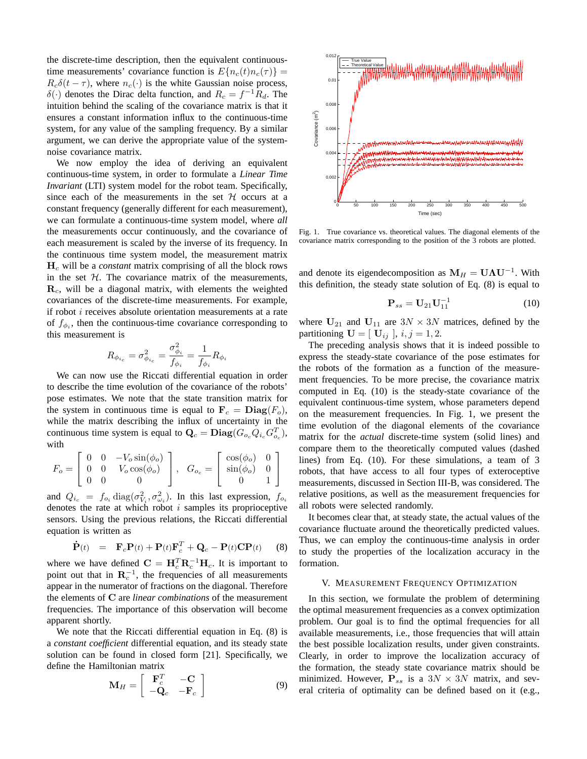the discrete-time description, then the equivalent continuoustime measurements' covariance function is  $E\{n_c(t)n_c(\tau)\}$  =  $R_c\delta(t-\tau)$ , where  $n_c(\cdot)$  is the white Gaussian noise process,  $\delta(\cdot)$  denotes the Dirac delta function, and  $R_c = f^{-1}R_d$ . The intuition behind the scaling of the covariance matrix is that it ensures a constant information influx to the continuous-time system, for any value of the sampling frequency. By a similar argument, we can derive the appropriate value of the systemnoise covariance matrix.

We now employ the idea of deriving an equivalent continuous-time system, in order to formulate a *Linear Time Invariant* (LTI) system model for the robot team. Specifically, since each of the measurements in the set  $H$  occurs at a constant frequency (generally different for each measurement), we can formulate a continuous-time system model, where *all* the measurements occur continuously, and the covariance of each measurement is scaled by the inverse of its frequency. In the continuous time system model, the measurement matrix H<sup>c</sup> will be a *constant* matrix comprising of all the block rows in the set  $H$ . The covariance matrix of the measurements,  $\mathbf{R}_c$ , will be a diagonal matrix, with elements the weighted covariances of the discrete-time measurements. For example, if robot  $i$  receives absolute orientation measurements at a rate of  $f_{\phi_i}$ , then the continuous-time covariance corresponding to this measurement is

$$
R_{\phi_{i_c}}=\sigma_{\phi_{i_c}}^2=\frac{\sigma_{\phi_i}^2}{f_{\phi_i}}=\frac{1}{f_{\phi_i}}R_{\phi_i}
$$

We can now use the Riccati differential equation in order to describe the time evolution of the covariance of the robots' pose estimates. We note that the state transition matrix for the system in continuous time is equal to  $\mathbf{F}_c = \mathbf{Diag}(F_o)$ , while the matrix describing the influx of uncertainty in the continuous time system is equal to  $\mathbf{Q}_c = \mathbf{Diag}(G_{o_c} Q_{i_c} G_{o_c}^T)$ , with

$$
F_o = \begin{bmatrix} 0 & 0 & -V_o \sin(\phi_o) \\ 0 & 0 & V_o \cos(\phi_o) \\ 0 & 0 & 0 \end{bmatrix}, \quad G_{o_c} = \begin{bmatrix} \cos(\phi_o) & 0 \\ \sin(\phi_o) & 0 \\ 0 & 1 \end{bmatrix}
$$

and  $Q_{i_c} = f_{o_i} \text{diag}(\sigma_{V_i}^2, \sigma_{\omega_i}^2)$ . In this last expression,  $f_{o_i}$ denotes the rate at which robot  $i$  samples its proprioceptive sensors. Using the previous relations, the Riccati differential equation is written as

$$
\dot{\mathbf{P}}(t) = \mathbf{F}_c \mathbf{P}(t) + \mathbf{P}(t) \mathbf{F}_c^T + \mathbf{Q}_c - \mathbf{P}(t) \mathbf{C} \mathbf{P}(t) \qquad (8)
$$

where we have defined  $\mathbf{C} = \mathbf{H}_c^T \mathbf{R}_c^{-1} \mathbf{H}_c$ . It is important to point out that in  $\mathbf{R}_c^{-1}$ , the frequencies of all measurements appear in the numerator of fractions on the diagonal. Therefore the elements of C are *linear combinations* of the measurement frequencies. The importance of this observation will become apparent shortly.

We note that the Riccati differential equation in Eq. (8) is a *constant coefficient* differential equation, and its steady state solution can be found in closed form [21]. Specifically, we define the Hamiltonian matrix

$$
\mathbf{M}_H = \left[ \begin{array}{cc} \mathbf{F}_c^T & -\mathbf{C} \\ -\mathbf{Q}_c & -\mathbf{F}_c \end{array} \right] \tag{9}
$$



Fig. 1. True covariance vs. theoretical values. The diagonal elements of the covariance matrix corresponding to the position of the 3 robots are plotted.

and denote its eigendecomposition as  $M_H = U \Lambda U^{-1}$ . With this definition, the steady state solution of Eq. (8) is equal to

$$
\mathbf{P}_{ss} = \mathbf{U}_{21} \mathbf{U}_{11}^{-1} \tag{10}
$$

where  $U_{21}$  and  $U_{11}$  are  $3N \times 3N$  matrices, defined by the partitioning  $\mathbf{U} = [\mathbf{U}_{ij}], i, j = 1, 2.$ 

The preceding analysis shows that it is indeed possible to express the steady-state covariance of the pose estimates for the robots of the formation as a function of the measurement frequencies. To be more precise, the covariance matrix computed in Eq. (10) is the steady-state covariance of the equivalent continuous-time system, whose parameters depend on the measurement frequencies. In Fig. 1, we present the time evolution of the diagonal elements of the covariance matrix for the *actual* discrete-time system (solid lines) and compare them to the theoretically computed values (dashed lines) from Eq. (10). For these simulations, a team of 3 robots, that have access to all four types of exteroceptive measurements, discussed in Section III-B, was considered. The relative positions, as well as the measurement frequencies for all robots were selected randomly.

It becomes clear that, at steady state, the actual values of the covariance fluctuate around the theoretically predicted values. Thus, we can employ the continuous-time analysis in order to study the properties of the localization accuracy in the formation.

# V. MEASUREMENT FREQUENCY OPTIMIZATION

In this section, we formulate the problem of determining the optimal measurement frequencies as a convex optimization problem. Our goal is to find the optimal frequencies for all available measurements, i.e., those frequencies that will attain the best possible localization results, under given constraints. Clearly, in order to improve the localization accuracy of the formation, the steady state covariance matrix should be minimized. However,  $P_{ss}$  is a  $3N \times 3N$  matrix, and several criteria of optimality can be defined based on it (e.g.,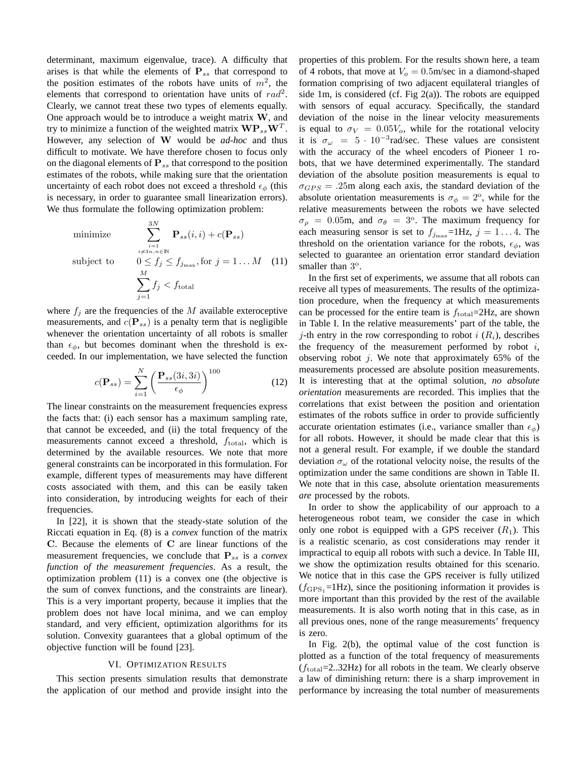determinant, maximum eigenvalue, trace). A difficulty that arises is that while the elements of  $P_{ss}$  that correspond to the position estimates of the robots have units of  $m^2$ , the elements that correspond to orientation have units of  $rad^2$ . Clearly, we cannot treat these two types of elements equally. One approach would be to introduce a weight matrix W, and try to minimize a function of the weighted matrix  $\mathbf{WP}_{ss}\mathbf{W}^T$ . However, any selection of W would be *ad-hoc* and thus difficult to motivate. We have therefore chosen to focus only on the diagonal elements of  $P_{ss}$  that correspond to the position estimates of the robots, while making sure that the orientation uncertainty of each robot does not exceed a threshold  $\epsilon_{\phi}$  (this is necessary, in order to guarantee small linearization errors). We thus formulate the following optimization problem:

minimize 
$$
\sum_{i=1 \atop i \neq 3n, n \in \mathbb{N}}^{3N} \mathbf{P}_{ss}(i, i) + c(\mathbf{P}_{ss})
$$
  
subject to 
$$
0 \le f_j \le f_{j_{\text{max}}}, \text{for } j = 1...M \quad (11)
$$

$$
\sum_{j=1}^{M} f_j < f_{\text{total}}
$$

where  $f_j$  are the frequencies of the M available exteroceptive measurements, and  $c(\mathbf{P}_{ss})$  is a penalty term that is negligible whenever the orientation uncertainty of all robots is smaller than  $\epsilon_{\phi}$ , but becomes dominant when the threshold is exceeded. In our implementation, we have selected the function

$$
c(\mathbf{P}_{ss}) = \sum_{i=1}^{N} \left( \frac{\mathbf{P}_{ss}(3i,3i)}{\epsilon_{\phi}} \right)^{100}
$$
 (12)

The linear constraints on the measurement frequencies express the facts that: (i) each sensor has a maximum sampling rate, that cannot be exceeded, and (ii) the total frequency of the measurements cannot exceed a threshold,  $f_{total}$ , which is determined by the available resources. We note that more general constraints can be incorporated in this formulation. For example, different types of measurements may have different costs associated with them, and this can be easily taken into consideration, by introducing weights for each of their frequencies.

In [22], it is shown that the steady-state solution of the Riccati equation in Eq. (8) is a *convex* function of the matrix C. Because the elements of C are linear functions of the measurement frequencies, we conclude that  $P_{ss}$  is a *convex function of the measurement frequencies*. As a result, the optimization problem (11) is a convex one (the objective is the sum of convex functions, and the constraints are linear). This is a very important property, because it implies that the problem does not have local minima, and we can employ standard, and very efficient, optimization algorithms for its solution. Convexity guarantees that a global optimum of the objective function will be found [23].

#### VI. OPTIMIZATION RESULTS

This section presents simulation results that demonstrate the application of our method and provide insight into the properties of this problem. For the results shown here, a team of 4 robots, that move at  $V<sub>o</sub> = 0.5$ m/sec in a diamond-shaped formation comprising of two adjacent equilateral triangles of side 1m, is considered (cf. Fig 2(a)). The robots are equipped with sensors of equal accuracy. Specifically, the standard deviation of the noise in the linear velocity measurements is equal to  $\sigma_V = 0.05V_o$ , while for the rotational velocity it is  $\sigma_{\omega} = 5 \cdot 10^{-3}$  rad/sec. These values are consistent with the accuracy of the wheel encoders of Pioneer 1 robots, that we have determined experimentally. The standard deviation of the absolute position measurements is equal to  $\sigma_{GPS} = .25$ m along each axis, the standard deviation of the absolute orientation measurements is  $\sigma_{\phi} = 2^{\circ}$ , while for the relative measurements between the robots we have selected  $\sigma_{\rho}$  = 0.05m, and  $\sigma_{\theta}$  = 3°. The maximum frequency for each measuring sensor is set to  $f_{j_{\text{max}}}$ =1Hz,  $j = 1...4$ . The threshold on the orientation variance for the robots,  $\epsilon_{\phi}$ , was selected to guarantee an orientation error standard deviation smaller than  $3^\circ$ .

In the first set of experiments, we assume that all robots can receive all types of measurements. The results of the optimization procedure, when the frequency at which measurements can be processed for the entire team is  $f_{\text{total}}=2\text{Hz}$ , are shown in Table I. In the relative measurements' part of the table, the j-th entry in the row corresponding to robot  $i(R_i)$ , describes the frequency of the measurement performed by robot  $i$ , observing robot  $j$ . We note that approximately 65% of the measurements processed are absolute position measurements. It is interesting that at the optimal solution, *no absolute orientation* measurements are recorded. This implies that the correlations that exist between the position and orientation estimates of the robots suffice in order to provide sufficiently accurate orientation estimates (i.e., variance smaller than  $\epsilon_{\phi}$ ) for all robots. However, it should be made clear that this is not a general result. For example, if we double the standard deviation  $\sigma_{\omega}$  of the rotational velocity noise, the results of the optimization under the same conditions are shown in Table II. We note that in this case, absolute orientation measurements *are* processed by the robots.

In order to show the applicability of our approach to a heterogeneous robot team, we consider the case in which only one robot is equipped with a GPS receiver  $(R_1)$ . This is a realistic scenario, as cost considerations may render it impractical to equip all robots with such a device. In Table III, we show the optimization results obtained for this scenario. We notice that in this case the GPS receiver is fully utilized  $(f<sub>GPS1</sub>=1Hz)$ , since the positioning information it provides is more important than this provided by the rest of the available measurements. It is also worth noting that in this case, as in all previous ones, none of the range measurements' frequency is zero.

In Fig. 2(b), the optimal value of the cost function is plotted as a function of the total frequency of measurements  $(f_{total}=2..32Hz)$  for all robots in the team. We clearly observe a law of diminishing return: there is a sharp improvement in performance by increasing the total number of measurements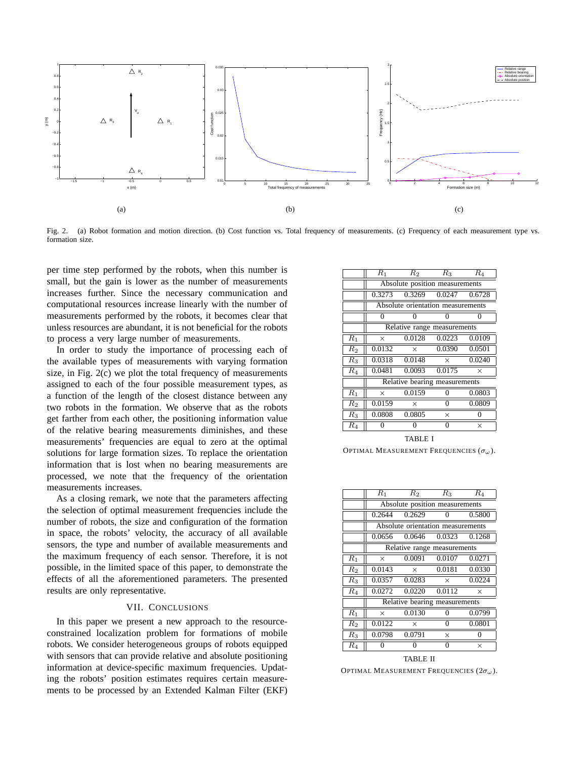

Fig. 2. (a) Robot formation and motion direction. (b) Cost function vs. Total frequency of measurements. (c) Frequency of each measurement type vs. formation size.

per time step performed by the robots, when this number is small, but the gain is lower as the number of measurements increases further. Since the necessary communication and computational resources increase linearly with the number of measurements performed by the robots, it becomes clear that unless resources are abundant, it is not beneficial for the robots to process a very large number of measurements.

In order to study the importance of processing each of the available types of measurements with varying formation size, in Fig. 2(c) we plot the total frequency of measurements assigned to each of the four possible measurement types, as a function of the length of the closest distance between any two robots in the formation. We observe that as the robots get farther from each other, the positioning information value of the relative bearing measurements diminishes, and these measurements' frequencies are equal to zero at the optimal solutions for large formation sizes. To replace the orientation information that is lost when no bearing measurements are processed, we note that the frequency of the orientation measurements increases.

As a closing remark, we note that the parameters affecting the selection of optimal measurement frequencies include the number of robots, the size and configuration of the formation in space, the robots' velocity, the accuracy of all available sensors, the type and number of available measurements and the maximum frequency of each sensor. Therefore, it is not possible, in the limited space of this paper, to demonstrate the effects of all the aforementioned parameters. The presented results are only representative.

### VII. CONCLUSIONS

In this paper we present a new approach to the resourceconstrained localization problem for formations of mobile robots. We consider heterogeneous groups of robots equipped with sensors that can provide relative and absolute positioning information at device-specific maximum frequencies. Updating the robots' position estimates requires certain measurements to be processed by an Extended Kalman Filter (EKF)

|                | $R_1$                             | $R_2$    | $R_3$                       | R4       |  |  |  |
|----------------|-----------------------------------|----------|-----------------------------|----------|--|--|--|
|                | Absolute position measurements    |          |                             |          |  |  |  |
|                |                                   |          | 0.3273 0.3269 0.0247 0.6728 |          |  |  |  |
|                | Absolute orientation measurements |          |                             |          |  |  |  |
|                | 0                                 |          |                             |          |  |  |  |
|                | Relative range measurements       |          |                             |          |  |  |  |
| $R_1$          | $\times$                          | 0.0128   | 0.0223                      | 0.0109   |  |  |  |
| $R_2$          | 0.0132                            | $\times$ | 0.0390                      | 0.0501   |  |  |  |
| $R_3$          | 0.0318                            | 0.0148   | $\times$                    | 0.0240   |  |  |  |
| $R_4$          | 0.0481                            | 0.0093   | 0.0175                      | $\times$ |  |  |  |
|                | Relative bearing measurements     |          |                             |          |  |  |  |
| $R_1$          | $\times$                          | 0.0159   | 0                           | 0.0803   |  |  |  |
| R <sub>2</sub> | 0.0159                            | $\times$ | $\overline{0}$              | 0.0809   |  |  |  |
| $R_3$          | 0.0808                            | 0.0805   | $\times$                    | $\theta$ |  |  |  |
| $R_4$          | $\theta$                          | $\theta$ | $\theta$                    | $\times$ |  |  |  |
|                |                                   |          |                             |          |  |  |  |

TABLE I

OPTIMAL MEASUREMENT FREQUENCIES  $(\sigma_{\omega})$ .

|                  | $R_1$                             | $R_2$    | $R_3$             | $R_{4}$  |  |  |  |
|------------------|-----------------------------------|----------|-------------------|----------|--|--|--|
|                  | Absolute position measurements    |          |                   |          |  |  |  |
|                  | 0.2644                            | 0.2629   | 0                 | 0.5800   |  |  |  |
|                  | Absolute orientation measurements |          |                   |          |  |  |  |
|                  | 0.0656                            |          | $0.0646$ $0.0323$ | 0.1268   |  |  |  |
|                  | Relative range measurements       |          |                   |          |  |  |  |
| $R_1$            | $\times$                          | 0.0091   | 0.0107            | 0.0271   |  |  |  |
| $\overline{R}_2$ | 0.0143                            | $\times$ | 0.0181            | 0.0330   |  |  |  |
| $R_3$            | 0.0357                            | 0.0283   | $\times$          | 0.0224   |  |  |  |
| $R_4$            | 0.0272                            | 0.0220   | 0.0112            | $\times$ |  |  |  |
|                  | Relative bearing measurements     |          |                   |          |  |  |  |
| $\overline{R_1}$ | X                                 | 0.0130   | $\theta$          | 0.0799   |  |  |  |
| R <sub>2</sub>   | 0.0122                            | $\times$ | 0                 | 0.0801   |  |  |  |
| $R_3$            | 0.0798                            | 0.0791   | $\times$          | $\Omega$ |  |  |  |
| $\overline{R_4}$ | 0                                 | 0        | 0                 | $\times$ |  |  |  |
|                  |                                   |          |                   |          |  |  |  |

TABLE II OPTIMAL MEASUREMENT FREQUENCIES  $(2\sigma_{\omega})$ .